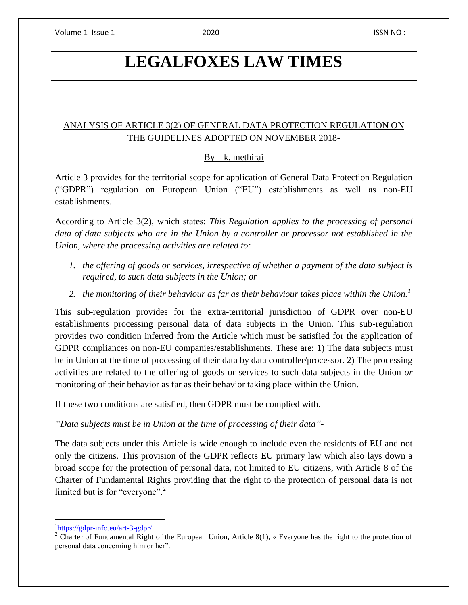# **LEGALFOXES LAW TIMES**

## ANALYSIS OF ARTICLE 3(2) OF GENERAL DATA PROTECTION REGULATION ON THE GUIDELINES ADOPTED ON NOVEMBER 2018-

### $By - k$ . methirai

Article 3 provides for the territorial scope for application of General Data Protection Regulation ("GDPR") regulation on European Union ("EU") establishments as well as non-EU establishments.

According to Article 3(2), which states: *This Regulation applies to the processing of personal data of data subjects who are in the Union by a controller or processor not established in the Union, where the processing activities are related to:*

- *1. the offering of goods or services, irrespective of whether a payment of the data subject is required, to such data subjects in the Union; or*
- *2. the monitoring of their behaviour as far as their behaviour takes place within the Union.<sup>1</sup>*

This sub-regulation provides for the extra-territorial jurisdiction of GDPR over non-EU establishments processing personal data of data subjects in the Union. This sub-regulation provides two condition inferred from the Article which must be satisfied for the application of GDPR compliances on non-EU companies/establishments. These are: 1) The data subjects must be in Union at the time of processing of their data by data controller/processor. 2) The processing activities are related to the offering of goods or services to such data subjects in the Union *or* monitoring of their behavior as far as their behavior taking place within the Union.

If these two conditions are satisfied, then GDPR must be complied with.

#### *"Data subjects must be in Union at the time of processing of their data"-*

The data subjects under this Article is wide enough to include even the residents of EU and not only the citizens. This provision of the GDPR reflects EU primary law which also lays down a broad scope for the protection of personal data, not limited to EU citizens, with Article 8 of the Charter of Fundamental Rights providing that the right to the protection of personal data is not limited but is for "everyone".<sup>2</sup>

 $\overline{\phantom{a}}$ <sup>1</sup>[https://gdpr-info.eu/art-3-gdpr/.](https://gdpr-info.eu/art-3-gdpr/)

 $2 \overline{\text{C}$ harter of Fundamental Right of the European Union, Article 8(1), « Everyone has the right to the protection of personal data concerning him or her".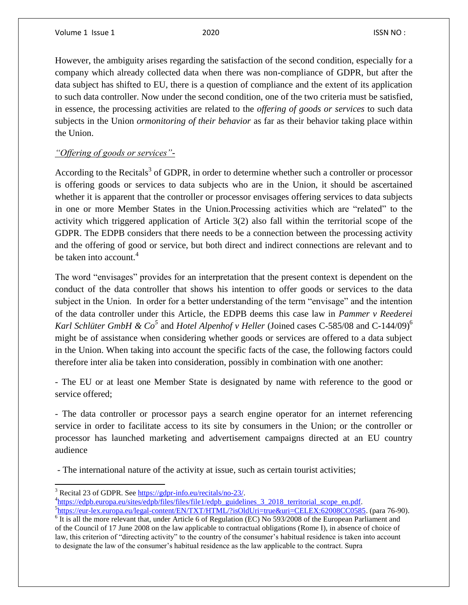$\overline{\phantom{a}}$ 

However, the ambiguity arises regarding the satisfaction of the second condition, especially for a company which already collected data when there was non-compliance of GDPR, but after the data subject has shifted to EU, there is a question of compliance and the extent of its application to such data controller. Now under the second condition, one of the two criteria must be satisfied, in essence, the processing activities are related to the *offering of goods or services* to such data subjects in the Union *ormonitoring of their behavior* as far as their behavior taking place within the Union.

## *"Offering of goods or services"-*

According to the Recitals<sup>3</sup> of GDPR, in order to determine whether such a controller or processor is offering goods or services to data subjects who are in the Union, it should be ascertained whether it is apparent that the controller or processor envisages offering services to data subjects in one or more Member States in the Union.Processing activities which are "related" to the activity which triggered application of Article 3(2) also fall within the territorial scope of the GDPR. The EDPB considers that there needs to be a connection between the processing activity and the offering of good or service, but both direct and indirect connections are relevant and to be taken into account. $4$ 

The word "envisages" provides for an interpretation that the present context is dependent on the conduct of the data controller that shows his intention to offer goods or services to the data subject in the Union. In order for a better understanding of the term "envisage" and the intention of the data controller under this Article, the EDPB deems this case law in *Pammer v Reederei Karl Schlüter GmbH & Co*<sup>5</sup> and *Hotel Alpenhof v Heller* (Joined cases C-585/08 and C-144/09)<sup>6</sup> might be of assistance when considering whether goods or services are offered to a data subject in the Union. When taking into account the specific facts of the case, the following factors could therefore inter alia be taken into consideration, possibly in combination with one another:

- The EU or at least one Member State is designated by name with reference to the good or service offered;

- The data controller or processor pays a search engine operator for an internet referencing service in order to facilitate access to its site by consumers in the Union; or the controller or processor has launched marketing and advertisement campaigns directed at an EU country audience

- The international nature of the activity at issue, such as certain tourist activities;

<sup>&</sup>lt;sup>3</sup> Recital 23 of GDPR. See [https://gdpr-info.eu/recitals/no-23/.](https://gdpr-info.eu/recitals/no-23/) <sup>4</sup>[https://edpb.europa.eu/sites/edpb/files/files/file1/edpb\\_guidelines\\_3\\_2018\\_territorial\\_scope\\_en.pdf.](https://edpb.europa.eu/sites/edpb/files/files/file1/edpb_guidelines_3_2018_territorial_scope_en.pdf)

<sup>5</sup> [https://eur-lex.europa.eu/legal-content/EN/TXT/HTML/?isOldUri=true&uri=CELEX:62008CC0585.](https://eur-lex.europa.eu/legal-content/EN/TXT/HTML/?isOldUri=true&uri=CELEX:62008CC0585) (para 76-90).  $\overline{6}$  It is all the more relevant that, under Article 6 of Regulation (EC) No 593/2008 of the European Parliament and of the Council of 17 June 2008 on the law applicable to contractual obligations (Rome I), in absence of choice of law, this criterion of "directing activity" to the country of the consumer's habitual residence is taken into account to designate the law of the consumer's habitual residence as the law applicable to the contract. Supra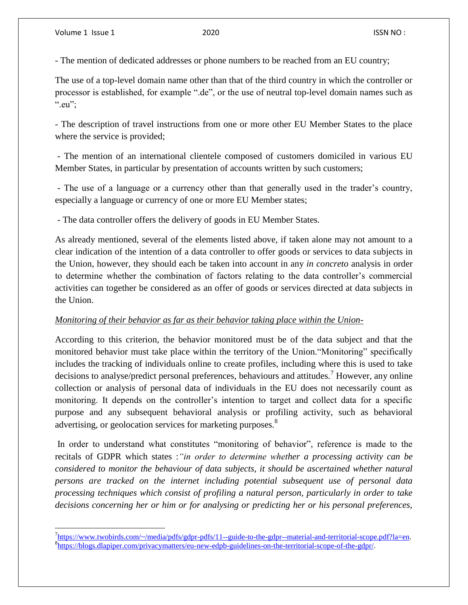$\overline{\phantom{a}}$ 

- The mention of dedicated addresses or phone numbers to be reached from an EU country;

The use of a top-level domain name other than that of the third country in which the controller or processor is established, for example ".de", or the use of neutral top-level domain names such as ".eu":

- The description of travel instructions from one or more other EU Member States to the place where the service is provided;

- The mention of an international clientele composed of customers domiciled in various EU Member States, in particular by presentation of accounts written by such customers;

- The use of a language or a currency other than that generally used in the trader's country, especially a language or currency of one or more EU Member states;

- The data controller offers the delivery of goods in EU Member States.

As already mentioned, several of the elements listed above, if taken alone may not amount to a clear indication of the intention of a data controller to offer goods or services to data subjects in the Union, however, they should each be taken into account in any *in concreto* analysis in order to determine whether the combination of factors relating to the data controller's commercial activities can together be considered as an offer of goods or services directed at data subjects in the Union.

#### *Monitoring of their behavior as far as their behavior taking place within the Union-*

According to this criterion, the behavior monitored must be of the data subject and that the monitored behavior must take place within the territory of the Union."Monitoring" specifically includes the tracking of individuals online to create profiles, including where this is used to take decisions to analyse/predict personal preferences, behaviours and attitudes.<sup>7</sup> However, any online collection or analysis of personal data of individuals in the EU does not necessarily count as monitoring. It depends on the controller's intention to target and collect data for a specific purpose and any subsequent behavioral analysis or profiling activity, such as behavioral advertising, or geolocation services for marketing purposes.<sup>8</sup>

In order to understand what constitutes "monitoring of behavior", reference is made to the recitals of GDPR which states :*"in order to determine whether a processing activity can be considered to monitor the behaviour of data subjects, it should be ascertained whether natural persons are tracked on the internet including potential subsequent use of personal data processing techniques which consist of profiling a natural person, particularly in order to take decisions concerning her or him or for analysing or predicting her or his personal preferences,* 

 $^{7}$ [https://www.twobirds.com/~/media/pdfs/gdpr-pdfs/11--guide-to-the-gdpr--material-and-territorial-scope.pdf?la=en.](https://www.twobirds.com/~/media/pdfs/gdpr-pdfs/11--guide-to-the-gdpr--material-and-territorial-scope.pdf?la=en) 8 [https://blogs.dlapiper.com/privacymatters/eu-new-edpb-guidelines-on-the-territorial-scope-of-the-gdpr/.](https://blogs.dlapiper.com/privacymatters/eu-new-edpb-guidelines-on-the-territorial-scope-of-the-gdpr/)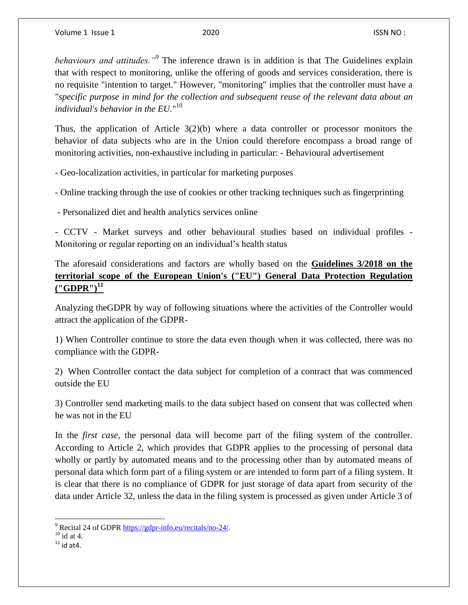*behaviours and attitudes."<sup>9</sup>* The inference drawn is in addition is that The Guidelines explain that with respect to monitoring, unlike the offering of goods and services consideration, there is no requisite "intention to target." However, "monitoring" implies that the controller must have a "*specific purpose in mind for the collection and subsequent reuse of the relevant data about an individual's behavior in the EU.*" 10

Thus, the application of Article 3(2)(b) where a data controller or processor monitors the behavior of data subjects who are in the Union could therefore encompass a broad range of monitoring activities, non-exhaustive including in particular: - Behavioural advertisement

- Geo-localization activities, in particular for marketing purposes

- Online tracking through the use of cookies or other tracking techniques such as fingerprinting

- Personalized diet and health analytics services online

- CCTV - Market surveys and other behavioural studies based on individual profiles - Monitoring or regular reporting on an individual's health status

The aforesaid considerations and factors are wholly based on the **Guidelines 3/2018 on the territorial scope of the European Union's ("EU") General Data Protection Regulation ("GDPR")<sup>11</sup>**

Analyzing theGDPR by way of following situations where the activities of the Controller would attract the application of the GDPR-

1) When Controller continue to store the data even though when it was collected, there was no compliance with the GDPR-

2) When Controller contact the data subject for completion of a contract that was commenced outside the EU

3) Controller send marketing mails to the data subject based on consent that was collected when he was not in the EU

In the *first case*, the personal data will become part of the filing system of the controller. According to Article 2, which provides that GDPR applies to the processing of personal data wholly or partly by automated means and to the processing other than by automated means of personal data which form part of a filing system or are intended to form part of a filing system. It is clear that there is no compliance of GDPR for just storage of data apart from security of the data under Article 32, unless the data in the filing system is processed as given under Article 3 of

 $\overline{\phantom{a}}$ <sup>9</sup> Recital 24 of GDPR [https://gdpr-info.eu/recitals/no-24/.](https://gdpr-info.eu/recitals/no-24/)

 $10$  id at 4.

 $11$  id at4.